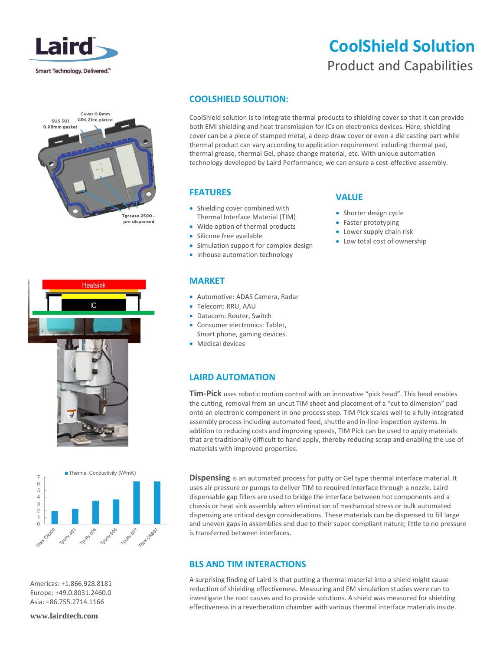

# **CoolShield Solution** Product and Capabilities







Americas: +1.866.928.8181 Europe: +49.0.8031.2460.0 Asia: +86.755.2714.1166

**www.lairdtech.com**

### **COOLSHIELD SOLUTION:**

CoolShield solution is to integrate thermal products to shielding cover so that it can provide both EMI shielding and heat transmission for ICs on electronics devices. Here, shielding cover can be a piece of stamped metal, a deep draw cover or even a die casting part while thermal product can vary according to application requirement including thermal pad, thermal grease, thermal Gel, phase change material, etc. With unique automation technology developed by Laird Performance, we can ensure a cost-effective assembly.

#### **FEATURES**

- Shielding cover combined with Thermal Interface Material (TIM)
- Wide option of thermal products
- Silicone free available
- Simulation support for complex design
- Inhouse automation technology

#### **MARKET**

- Automotive: ADAS Camera, Radar
- Telecom: RRU, AAU
- Datacom: Router, Switch
- Consumer electronics: Tablet, Smart phone, gaming devices.
- Medical devices

### **LAIRD AUTOMATION**

**Tim-Pick** uses robotic motion control with an innovative "pick head". This head enables the cutting, removal from an uncut TIM sheet and placement of a "cut to dimension" pad onto an electronic component in one process step. TIM Pick scales well to a fully integrated assembly process including automated feed, shuttle and in-line inspection systems. In addition to reducing costs and improving speeds, TIM Pick can be used to apply materials that are traditionally difficult to hand apply, thereby reducing scrap and enabling the use of materials with improved properties.

**Dispensing** is an automated process for putty or Gel type thermal interface material. It uses air pressure or pumps to deliver TIM to required interface through a nozzle. Laird dispensable gap fillers are used to bridge the interface between hot components and a chassis or heat sink assembly when elimination of mechanical stress or bulk automated dispensing are critical design considerations. These materials can be dispensed to fill large and uneven gaps in assemblies and due to their super compliant nature; little to no pressure is transferred between interfaces.

### **BLS AND TIM INTERACTIONS**

A surprising finding of Laird is that putting a thermal material into a shield might cause reduction of shielding effectiveness. Measuring and EM simulation studies were run to investigate the root causes and to provide solutions. A shield was measured for shielding effectiveness in a reverberation chamber with various thermal interface materials inside.

#### **VALUE**

- Shorter design cycle
- Faster prototyping
- Lower supply chain risk
- Low total cost of ownership